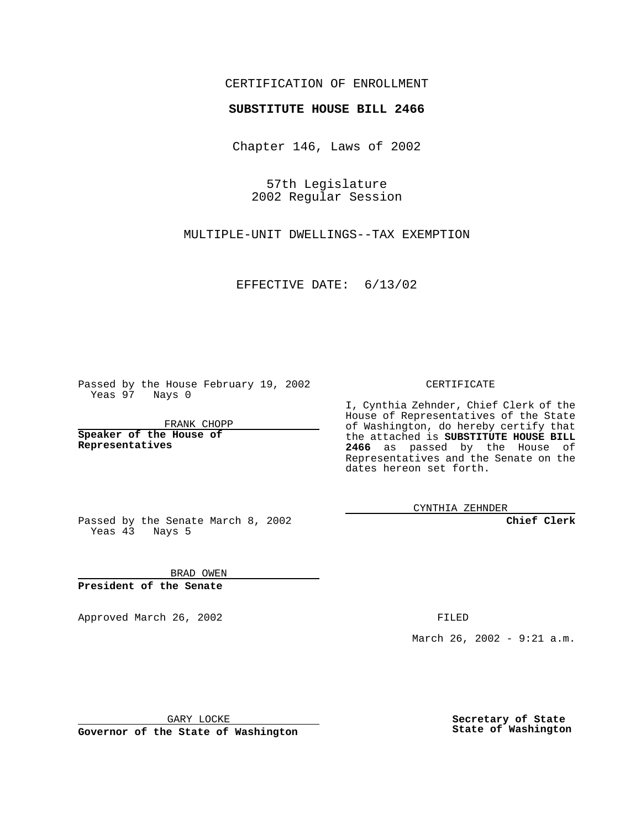## CERTIFICATION OF ENROLLMENT

## **SUBSTITUTE HOUSE BILL 2466**

Chapter 146, Laws of 2002

57th Legislature 2002 Regular Session

MULTIPLE-UNIT DWELLINGS--TAX EXEMPTION

EFFECTIVE DATE: 6/13/02

Passed by the House February 19, 2002 Yeas 97 Nays 0

FRANK CHOPP

**Speaker of the House of Representatives**

CERTIFICATE

I, Cynthia Zehnder, Chief Clerk of the House of Representatives of the State of Washington, do hereby certify that the attached is **SUBSTITUTE HOUSE BILL 2466** as passed by the House of Representatives and the Senate on the dates hereon set forth.

CYNTHIA ZEHNDER

**Chief Clerk**

Passed by the Senate March 8, 2002 Yeas  $4\overline{3}$  Nays 5

BRAD OWEN **President of the Senate**

Approved March 26, 2002 **FILED** 

March 26, 2002 - 9:21 a.m.

GARY LOCKE

**Governor of the State of Washington**

**Secretary of State State of Washington**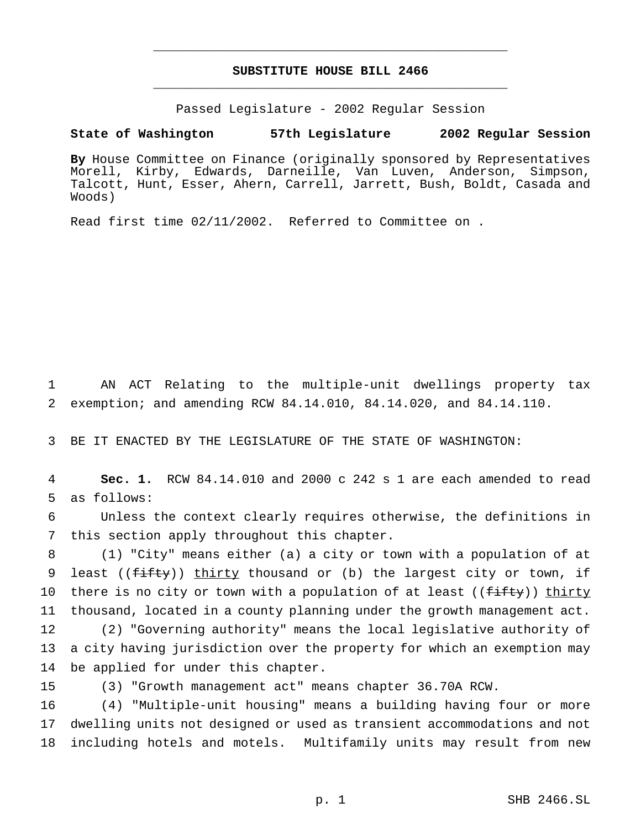## **SUBSTITUTE HOUSE BILL 2466** \_\_\_\_\_\_\_\_\_\_\_\_\_\_\_\_\_\_\_\_\_\_\_\_\_\_\_\_\_\_\_\_\_\_\_\_\_\_\_\_\_\_\_\_\_\_\_

\_\_\_\_\_\_\_\_\_\_\_\_\_\_\_\_\_\_\_\_\_\_\_\_\_\_\_\_\_\_\_\_\_\_\_\_\_\_\_\_\_\_\_\_\_\_\_

Passed Legislature - 2002 Regular Session

## **State of Washington 57th Legislature 2002 Regular Session**

**By** House Committee on Finance (originally sponsored by Representatives Morell, Kirby, Edwards, Darneille, Van Luven, Anderson, Simpson, Talcott, Hunt, Esser, Ahern, Carrell, Jarrett, Bush, Boldt, Casada and Woods)

Read first time 02/11/2002. Referred to Committee on .

1 AN ACT Relating to the multiple-unit dwellings property tax 2 exemption; and amending RCW 84.14.010, 84.14.020, and 84.14.110.

3 BE IT ENACTED BY THE LEGISLATURE OF THE STATE OF WASHINGTON:

4 **Sec. 1.** RCW 84.14.010 and 2000 c 242 s 1 are each amended to read 5 as follows:

6 Unless the context clearly requires otherwise, the definitions in 7 this section apply throughout this chapter.

8 (1) "City" means either (a) a city or town with a population of at 9 least ((fifty)) thirty thousand or (b) the largest city or town, if 10 there is no city or town with a population of at least ((fifty)) thirty 11 thousand, located in a county planning under the growth management act.

12 (2) "Governing authority" means the local legislative authority of 13 a city having jurisdiction over the property for which an exemption may 14 be applied for under this chapter.

15 (3) "Growth management act" means chapter 36.70A RCW.

16 (4) "Multiple-unit housing" means a building having four or more 17 dwelling units not designed or used as transient accommodations and not 18 including hotels and motels. Multifamily units may result from new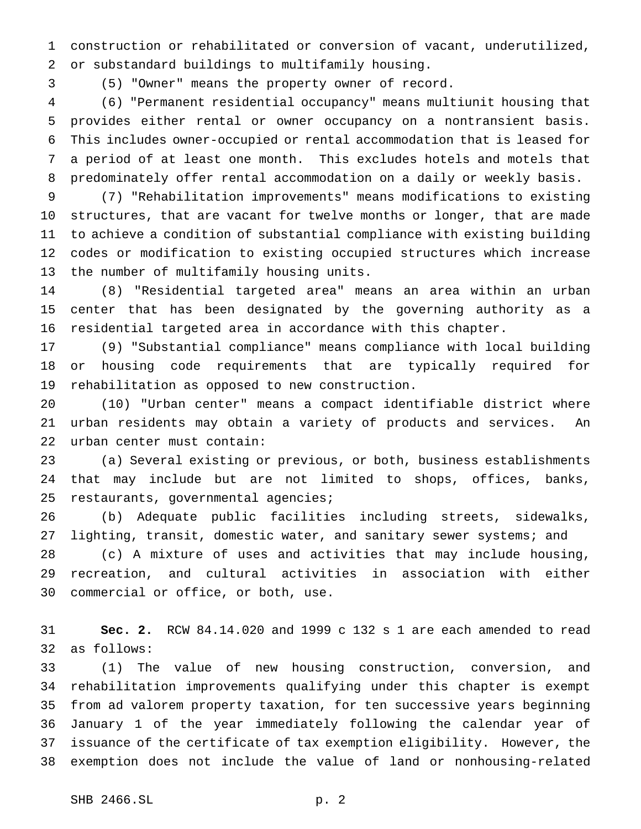construction or rehabilitated or conversion of vacant, underutilized, or substandard buildings to multifamily housing.

(5) "Owner" means the property owner of record.

 (6) "Permanent residential occupancy" means multiunit housing that provides either rental or owner occupancy on a nontransient basis. This includes owner-occupied or rental accommodation that is leased for a period of at least one month. This excludes hotels and motels that predominately offer rental accommodation on a daily or weekly basis.

 (7) "Rehabilitation improvements" means modifications to existing structures, that are vacant for twelve months or longer, that are made to achieve a condition of substantial compliance with existing building codes or modification to existing occupied structures which increase the number of multifamily housing units.

 (8) "Residential targeted area" means an area within an urban center that has been designated by the governing authority as a residential targeted area in accordance with this chapter.

 (9) "Substantial compliance" means compliance with local building or housing code requirements that are typically required for rehabilitation as opposed to new construction.

 (10) "Urban center" means a compact identifiable district where urban residents may obtain a variety of products and services. An urban center must contain:

 (a) Several existing or previous, or both, business establishments that may include but are not limited to shops, offices, banks, restaurants, governmental agencies;

 (b) Adequate public facilities including streets, sidewalks, lighting, transit, domestic water, and sanitary sewer systems; and (c) A mixture of uses and activities that may include housing, recreation, and cultural activities in association with either commercial or office, or both, use.

 **Sec. 2.** RCW 84.14.020 and 1999 c 132 s 1 are each amended to read as follows:

 (1) The value of new housing construction, conversion, and rehabilitation improvements qualifying under this chapter is exempt from ad valorem property taxation, for ten successive years beginning January 1 of the year immediately following the calendar year of issuance of the certificate of tax exemption eligibility. However, the exemption does not include the value of land or nonhousing-related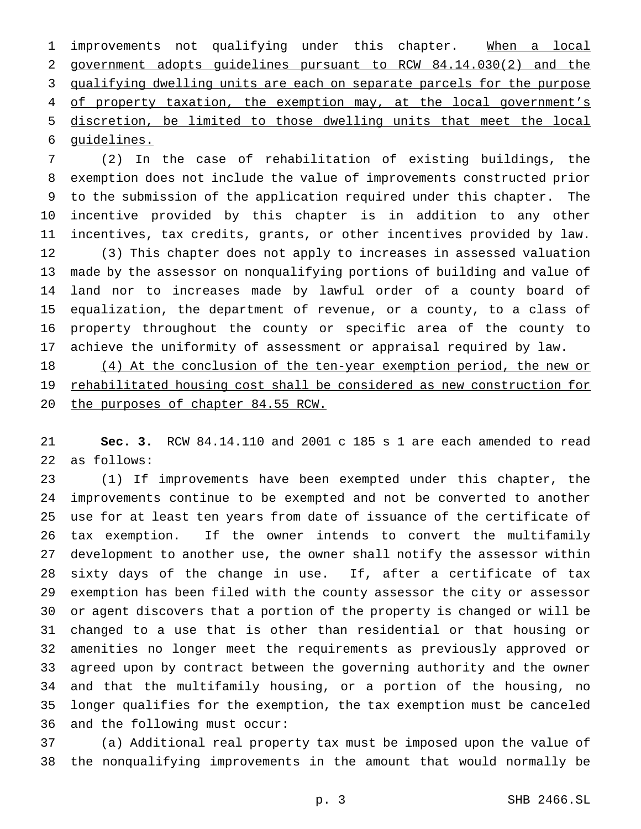1 improvements not qualifying under this chapter. When a local government adopts guidelines pursuant to RCW 84.14.030(2) and the qualifying dwelling units are each on separate parcels for the purpose 4 of property taxation, the exemption may, at the local government's discretion, be limited to those dwelling units that meet the local guidelines.

 (2) In the case of rehabilitation of existing buildings, the exemption does not include the value of improvements constructed prior to the submission of the application required under this chapter. The incentive provided by this chapter is in addition to any other incentives, tax credits, grants, or other incentives provided by law. (3) This chapter does not apply to increases in assessed valuation made by the assessor on nonqualifying portions of building and value of land nor to increases made by lawful order of a county board of equalization, the department of revenue, or a county, to a class of property throughout the county or specific area of the county to achieve the uniformity of assessment or appraisal required by law.

18 (4) At the conclusion of the ten-year exemption period, the new or rehabilitated housing cost shall be considered as new construction for 20 the purposes of chapter 84.55 RCW.

 **Sec. 3.** RCW 84.14.110 and 2001 c 185 s 1 are each amended to read as follows:

 (1) If improvements have been exempted under this chapter, the improvements continue to be exempted and not be converted to another use for at least ten years from date of issuance of the certificate of tax exemption. If the owner intends to convert the multifamily development to another use, the owner shall notify the assessor within sixty days of the change in use. If, after a certificate of tax exemption has been filed with the county assessor the city or assessor or agent discovers that a portion of the property is changed or will be changed to a use that is other than residential or that housing or amenities no longer meet the requirements as previously approved or agreed upon by contract between the governing authority and the owner and that the multifamily housing, or a portion of the housing, no longer qualifies for the exemption, the tax exemption must be canceled and the following must occur:

 (a) Additional real property tax must be imposed upon the value of the nonqualifying improvements in the amount that would normally be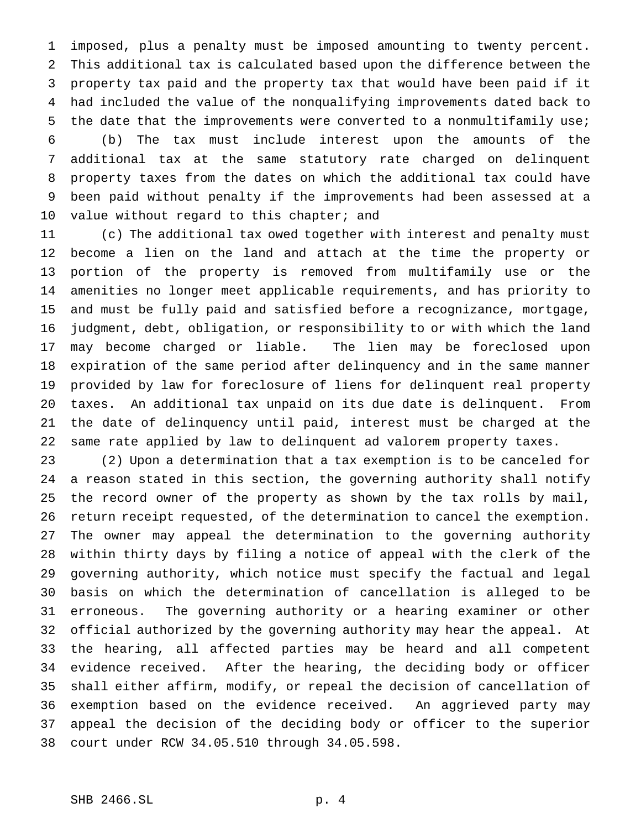imposed, plus a penalty must be imposed amounting to twenty percent. This additional tax is calculated based upon the difference between the property tax paid and the property tax that would have been paid if it had included the value of the nonqualifying improvements dated back to the date that the improvements were converted to a nonmultifamily use;

 (b) The tax must include interest upon the amounts of the additional tax at the same statutory rate charged on delinquent property taxes from the dates on which the additional tax could have been paid without penalty if the improvements had been assessed at a 10 value without regard to this chapter; and

 (c) The additional tax owed together with interest and penalty must become a lien on the land and attach at the time the property or portion of the property is removed from multifamily use or the amenities no longer meet applicable requirements, and has priority to and must be fully paid and satisfied before a recognizance, mortgage, judgment, debt, obligation, or responsibility to or with which the land may become charged or liable. The lien may be foreclosed upon expiration of the same period after delinquency and in the same manner provided by law for foreclosure of liens for delinquent real property taxes. An additional tax unpaid on its due date is delinquent. From the date of delinquency until paid, interest must be charged at the same rate applied by law to delinquent ad valorem property taxes.

 (2) Upon a determination that a tax exemption is to be canceled for a reason stated in this section, the governing authority shall notify the record owner of the property as shown by the tax rolls by mail, return receipt requested, of the determination to cancel the exemption. The owner may appeal the determination to the governing authority within thirty days by filing a notice of appeal with the clerk of the governing authority, which notice must specify the factual and legal basis on which the determination of cancellation is alleged to be erroneous. The governing authority or a hearing examiner or other official authorized by the governing authority may hear the appeal. At the hearing, all affected parties may be heard and all competent evidence received. After the hearing, the deciding body or officer shall either affirm, modify, or repeal the decision of cancellation of exemption based on the evidence received. An aggrieved party may appeal the decision of the deciding body or officer to the superior court under RCW 34.05.510 through 34.05.598.